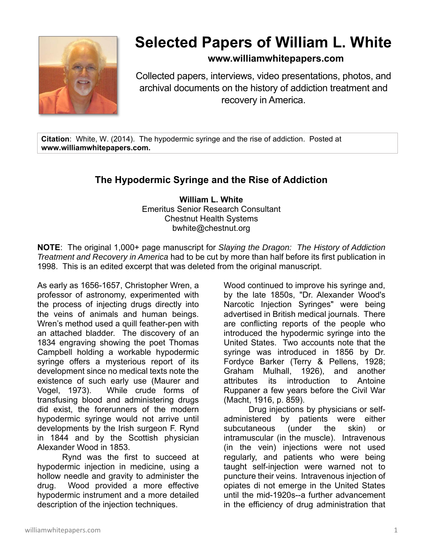

## **Selected Papers of William L. White**

## **www.williamwhitepapers.com**

Collected papers, interviews, video presentations, photos, and archival documents on the history of addiction treatment and recovery in America.

**Citation**: White, W. (2014). The hypodermic syringe and the rise of addiction. Posted at **www.williamwhitepapers.com.** 

## **The Hypodermic Syringe and the Rise of Addiction**

**William L. White**  Emeritus Senior Research Consultant Chestnut Health Systems bwhite@chestnut.org

**NOTE**: The original 1,000+ page manuscript for *Slaying the Dragon: The History of Addiction Treatment and Recovery in America* had to be cut by more than half before its first publication in 1998. This is an edited excerpt that was deleted from the original manuscript.

As early as 1656-1657, Christopher Wren, a professor of astronomy, experimented with the process of injecting drugs directly into the veins of animals and human beings. Wren's method used a quill feather-pen with an attached bladder. The discovery of an 1834 engraving showing the poet Thomas Campbell holding a workable hypodermic syringe offers a mysterious report of its development since no medical texts note the existence of such early use (Maurer and Vogel, 1973). While crude forms of transfusing blood and administering drugs did exist, the forerunners of the modern hypodermic syringe would not arrive until developments by the Irish surgeon F. Rynd in 1844 and by the Scottish physician Alexander Wood in 1853.

Rynd was the first to succeed at hypodermic injection in medicine, using a hollow needle and gravity to administer the drug. Wood provided a more effective hypodermic instrument and a more detailed description of the injection techniques.

Wood continued to improve his syringe and, by the late 1850s, "Dr. Alexander Wood's Narcotic Injection Syringes" were being advertised in British medical journals. There are conflicting reports of the people who introduced the hypodermic syringe into the United States. Two accounts note that the syringe was introduced in 1856 by Dr. Fordyce Barker (Terry & Pellens, 1928; Graham Mulhall, 1926), and another attributes its introduction to Antoine Ruppaner a few years before the Civil War (Macht, 1916, p. 859).

Drug injections by physicians or selfadministered by patients were either subcutaneous (under the skin) or intramuscular (in the muscle). Intravenous (in the vein) injections were not used regularly, and patients who were being taught self-injection were warned not to puncture their veins. Intravenous injection of opiates di not emerge in the United States until the mid-1920s--a further advancement in the efficiency of drug administration that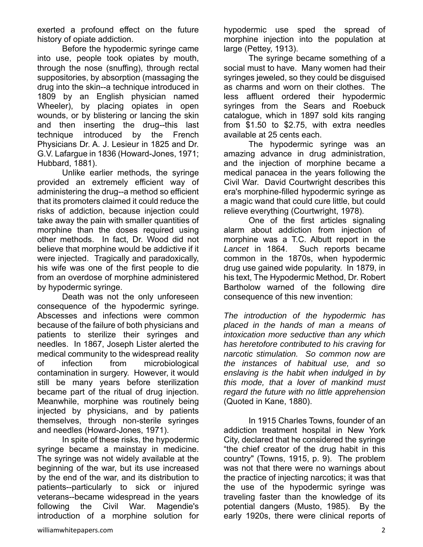exerted a profound effect on the future history of opiate addiction.

Before the hypodermic syringe came into use, people took opiates by mouth, through the nose (snuffing), through rectal suppositories, by absorption (massaging the drug into the skin--a technique introduced in 1809 by an English physician named Wheeler), by placing opiates in open wounds, or by blistering or lancing the skin and then inserting the drug--this last technique introduced by the French Physicians Dr. A. J. Lesieur in 1825 and Dr. G.V. Lafargue in 1836 (Howard-Jones, 1971; Hubbard, 1881).

Unlike earlier methods, the syringe provided an extremely efficient way of administering the drug--a method so efficient that its promoters claimed it could reduce the risks of addiction, because injection could take away the pain with smaller quantities of morphine than the doses required using other methods. In fact, Dr. Wood did not believe that morphine would be addictive if it were injected. Tragically and paradoxically, his wife was one of the first people to die from an overdose of morphine administered by hypodermic syringe.

 Death was not the only unforeseen consequence of the hypodermic syringe. Abscesses and infections were common because of the failure of both physicians and patients to sterilize their syringes and needles. In 1867, Joseph Lister alerted the medical community to the widespread reality of infection from microbiological contamination in surgery. However, it would still be many years before sterilization became part of the ritual of drug injection. Meanwhile, morphine was routinely being injected by physicians, and by patients themselves, through non-sterile syringes and needles (Howard-Jones, 1971).

In spite of these risks, the hypodermic syringe became a mainstay in medicine. The syringe was not widely available at the beginning of the war, but its use increased by the end of the war, and its distribution to patients--particularly to sick or injured veterans--became widespread in the years following the Civil War. Magendie's introduction of a morphine solution for

hypodermic use sped the spread of morphine injection into the population at large (Pettey, 1913).

The syringe became something of a social must to have. Many women had their syringes jeweled, so they could be disguised as charms and worn on their clothes. The less affluent ordered their hypodermic syringes from the Sears and Roebuck catalogue, which in 1897 sold kits ranging from \$1.50 to \$2.75, with extra needles available at 25 cents each.

The hypodermic syringe was an amazing advance in drug administration, and the injection of morphine became a medical panacea in the years following the Civil War. David Courtwright describes this era's morphine-filled hypodermic syringe as a magic wand that could cure little, but could relieve everything (Courtwright, 1978).

One of the first articles signaling alarm about addiction from injection of morphine was a T.C. Albutt report in the *Lancet* in 1864. Such reports became common in the 1870s, when hypodermic drug use gained wide popularity. In 1879, in his text, The Hypodermic Method, Dr. Robert Bartholow warned of the following dire consequence of this new invention:

*The introduction of the hypodermic has placed in the hands of man a means of intoxication more seductive than any which has heretofore contributed to his craving for narcotic stimulation. So common now are the instances of habitual use, and so enslaving is the habit when indulged in by this mode, that a lover of mankind must regard the future with no little apprehension* (Quoted in Kane, 1880).

 In 1915 Charles Towns, founder of an addiction treatment hospital in New York City, declared that he considered the syringe "the chief creator of the drug habit in this country" (Towns, 1915, p. 9). The problem was not that there were no warnings about the practice of injecting narcotics; it was that the use of the hypodermic syringe was traveling faster than the knowledge of its potential dangers (Musto, 1985). By the early 1920s, there were clinical reports of